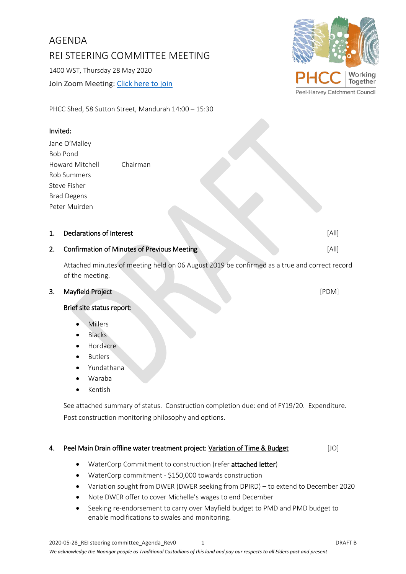### 2020-05-28\_REI steering committee\_Agenda\_Rev0 1 DRAFT B *We acknowledge the Noongar people as Traditional Custodians of this land and pay our respects to all Elders past and present*

AGENDA REI STEERING COMMITTEE MEETING 1400 WST, Thursday 28 May 2020 Join Zoom Meeting: Click [here to join](https://us02web.zoom.us/j/83283380308?pwd=V0tvaUYwTmpYYXUzTExIUURJWC9rUT09)

PHCC Shed, 58 Sutton Street, Mandurah 14:00 – 15:30

# Invited:

Jane O'Malley Bob Pond Howard Mitchell Chairman Rob Summers Steve Fisher Brad Degens Peter Muirden

### 1. Declarations of Interest [All]

# 2. Confirmation of Minutes of Previous Meeting **Confirmation** of All]

Attached minutes of meeting held on 06 August 2019 be confirmed as a true and correct record of the meeting.

### 3. Mayfield Project [PDM]

## Brief site status report:

- **Millers**
- **Blacks**
- Hordacre
- **Butlers**
- Yundathana
- Waraba
- Kentish

See attached summary of status. Construction completion due: end of FY19/20. Expenditure. Post construction monitoring philosophy and options.

## 4. Peel Main Drain offline water treatment project: Variation of Time & Budget [JO]

- WaterCorp Commitment to construction (refer attached letter)
- WaterCorp commitment \$150,000 towards construction
- Variation sought from DWER (DWER seeking from DPIRD) to extend to December 2020
- Note DWER offer to cover Michelle's wages to end December
- Seeking re-endorsement to carry over Mayfield budget to PMD and PMD budget to enable modifications to swales and monitoring.

Together Peel-Harvey Catchment Council